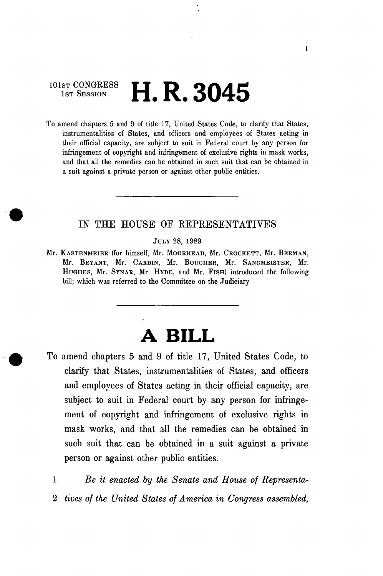## 101st CONGRESS<br>1st Session H. R. 3045

To amend chapters 5 and 9 of title 17, United States Code, to clarify that States, instrumentalities of States, and officers and employees of States acting in their official capacity, are subject to suit in Federal court by any person for infringement of copyright and infringement of exclusive rights in mask works, and that all the remedies can be obtained in such suit that can be obtained in a suit against a private person or against other public entities.

## IN THE HOUSE OF REPRESENTATIVES

JULY 28, 1989

Mr. KASTENMEIER (for himself, Mr. MOORHEAD, Mr. CROCKETT, Mr. BERMAN, Mr. BRYANT, Mr. CARDIN, Mr. BOUCHER, Mr. SANGMEISTER, Mr. HUGHES, Mr. SYNAB, Mr. HYDE, and Mr. FISH) introduced the following bill; which was referred to the Committee on the Judiciary

## **A BILL**

To amend chapters 5 and 9 of title 17, United States Code, to clarify that States, instrumentalities of States, and officers and employees of States acting in their official capacity, are subject to suit in Federal court by any person for infringement of copyright and infringement of exclusive rights in mask works, and that all the remedies can be obtained in such suit that can be obtained in a suit against a private person or against other public entities.

1 *Be it enacted by the Senate and House of Representa-*2 *tives of the United States of America in Congress assembled,*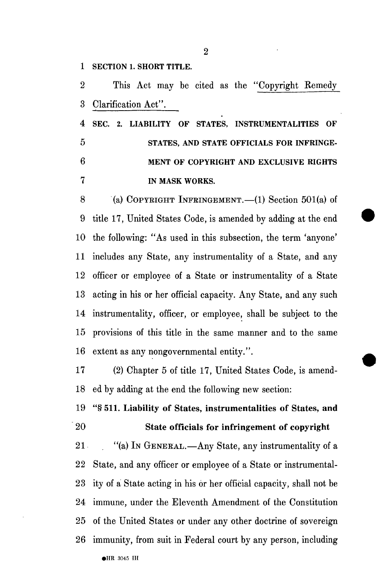1 SECTION 1. SHORT TITLE.

2 This Act may be cited as the "Copyright Remedy 3 Clarification Act".

4 SEC. 2. LIABILITY OF STATES, INSTRUMENTALITIES OF 5 STATES, AND STATE OFFICIALS FOR INFRINGE-6 MENT OF COPYRIGHT AND EXCLUSIVE RIGHTS 7 IN MASK WORKS.

8 (a) COPYRIGHT INFRINGEMENT.—(1) Section 501(a) of 9 title 17, United States Code, is amended by adding at the end 10 the following: "As used in this subsection, the term 'anyone' 11 includes any State, any instrumentality of a State, and any 12 officer or employee of a State or instrumentality of a State 13 acting in his or her official capacity. Any State, and any such 14 instrumentality, officer, or employee, shall be subject to the 15 provisions of this title in the same manner and to the same 16 extent as any nongovernmental entity.".

17 (2) Chapter 5 of title 17, United States Code, is amend-18 ed by adding at the end the following new section:

19 "§ 511. Liability of States, instrumentalities of States, and 20 State officials for infringement of copyright

21 "(a) IN GENERAL.—Any State, any instrumentality of a 22 State, and any officer or employee of a State or instrumental-23 ity of a State acting in his or her official capacity, shall not be 24 immune, under the Eleventh Amendment of the Constitution 25 of the United States or under any other doctrine of sovereign 26 immunity, from suit in Federal court by any person, including • HR 3045 IH

2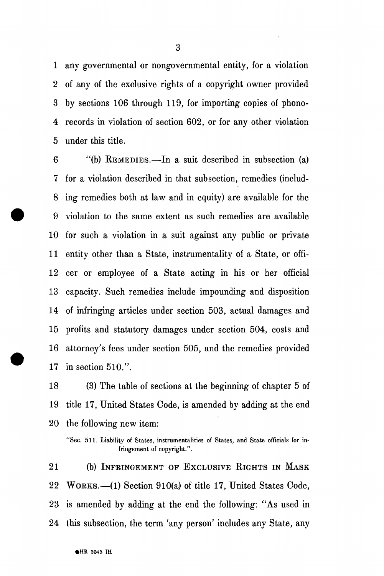1 any governmental or nongovernmental entity, for a violation 2 of any of the exclusive rights of a copyright owner provided 3 by sections 106 through 119, for importing copies of phono-4 records in violation of section 602, or for any other violation 5 under this title.

6 "(b) REMEDIES.—In a suit described in subsection (a) 7 for a violation described in that subsection, remedies (includ-8 ing remedies both at law and in equity) are available for the 9 violation to the same extent as such remedies are available 10 for such a violation in a suit against any public or private 11 entity other than a State, instrumentality of a State, or offi-12 cer or employee of a State acting in his or her official 13 capacity. Such remedies include impounding and disposition 14 of infringing articles under section 503, actual damages and 15 profits and statutory damages under section 504, costs and 16 attorney's fees under section 505, and the remedies provided 17 in section 510.".

18 (3) The table of sections at the beginning of chapter 5 of 19 title 17, United States Code, is amended by adding at the end 20 the following new item:

21 (b) INFRINGEMENT OF EXCLUSIVE RIGHTS IN MASK 22 WORKS.—(1) Section 910(a) of title 17, United States Code, 23 is amended by adding at the end the following: "As used in 24 this subsection, the term 'any person' includes any State, any

<sup>&</sup>quot;Sec. 511. Liability of States, instrumentalities of States, and State officials for infringement of copyright.".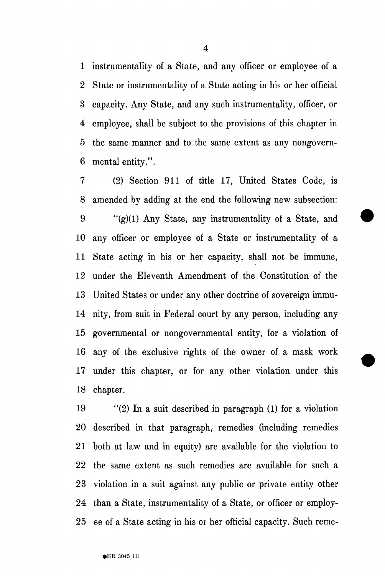1 instrumentality of a State, and any officer or employee of a 2 State or instrumentality of a State acting in his or her official 3 capacity. Any State, and any such instrumentality, officer, or 4 employee, shall be subject to the provisions of this chapter in 5 the same manner and to the same extent as any nongovern-6 mental entity.".

7 (2) Section 911 of title 17, United States Code, is 8 amended by adding at the end the following new subsection: 9 "(g)(1) Any State, any instrumentality of a State, and 10 any officer or employee of a State or instrumentality of a 11 State acting in his or her capacity, shall not be immune, 12 under the Eleventh Amendment of the Constitution of the 13 United States or under any other doctrine of sovereign immu-14 nity, from suit in Federal court by any person, including any 15 governmental or nongovernmental entity, for a violation of 16 any of the exclusive rights of the owner of a mask work 17 under this chapter, or for any other violation under this 18 chapter.

19 "(2) In a suit described in paragraph (1) for a violation 20 described in that paragraph, remedies (including remedies 21 both at law and in equity) are available for the violation to 22 the same extent as such remedies are available for such a 23 violation in a suit against any public or private entity other 24 than a State, instrumentality of a State, or officer or employ-25 ee of a State acting in his or her official capacity. Such reme